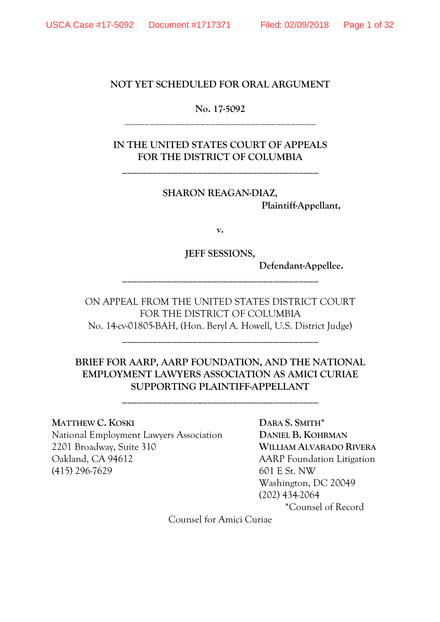#### **NOT YET SCHEDULED FOR ORAL ARGUMENT**

### **No. 17-5092** \_\_\_\_\_\_\_\_\_\_\_\_\_\_\_\_\_\_\_\_\_\_\_\_\_\_\_\_\_\_\_\_\_\_\_\_\_\_

**IN THE UNITED STATES COURT OF APPEALS FOR THE DISTRICT OF COLUMBIA**

**\_\_\_\_\_\_\_\_\_\_\_\_\_\_\_\_\_\_\_\_\_\_\_\_\_\_\_\_\_\_\_\_\_\_\_\_\_\_\_**

**SHARON REAGAN-DIAZ, Plaintiff-Appellant,**

**v.**

**JEFF SESSIONS,**

**\_\_\_\_\_\_\_\_\_\_\_\_\_\_\_\_\_\_\_\_\_\_\_\_\_\_\_\_\_\_\_\_\_\_\_\_\_\_\_**

**Defendant-Appellee.**

ON APPEAL FROM THE UNITED STATES DISTRICT COURT FOR THE DISTRICT OF COLUMBIA No. 14-cv-01805-BAH, (Hon. Beryl A. Howell, U.S. District Judge)

**\_\_\_\_\_\_\_\_\_\_\_\_\_\_\_\_\_\_\_\_\_\_\_\_\_\_\_\_\_\_\_\_\_\_\_\_\_\_\_**

# **BRIEF FOR AARP, AARP FOUNDATION, AND THE NATIONAL EMPLOYMENT LAWYERS ASSOCIATION AS AMICI CURIAE SUPPORTING PLAINTIFF-APPELLANT**

**\_\_\_\_\_\_\_\_\_\_\_\_\_\_\_\_\_\_\_\_\_\_\_\_\_\_\_\_\_\_\_\_\_\_\_\_\_\_\_**

#### **MATTHEW C. KOSKI DARA S. SMITH\***

National Employment Lawyers Association **DANIEL B. KOHRMAN** 2201 Broadway, Suite 310 **WILLIAM ALVARADO RIVERA** Oakland, CA 94612 AARP Foundation Litigation (415) 296-7629 601 E St. NW

Washington, DC 20049 (202) 434-2064

\*Counsel of Record

Counsel for Amici Curiae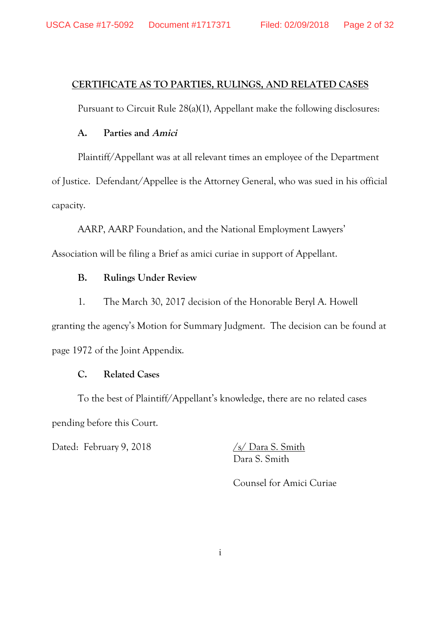### **CERTIFICATE AS TO PARTIES, RULINGS, AND RELATED CASES**

Pursuant to Circuit Rule 28(a)(1), Appellant make the following disclosures:

#### **A. Parties and Amici**

Plaintiff/Appellant was at all relevant times an employee of the Department

of Justice. Defendant/Appellee is the Attorney General, who was sued in his official capacity.

AARP, AARP Foundation, and the National Employment Lawyers'

Association will be filing a Brief as amici curiae in support of Appellant.

#### **B. Rulings Under Review**

1. The March 30, 2017 decision of the Honorable Beryl A. Howell

granting the agency's Motion for Summary Judgment. The decision can be found at page 1972 of the Joint Appendix.

#### **C. Related Cases**

To the best of Plaintiff/Appellant's knowledge, there are no related cases pending before this Court.

Dated: February 9, 2018 /s/ Dara S. Smith

Dara S. Smith

Counsel for Amici Curiae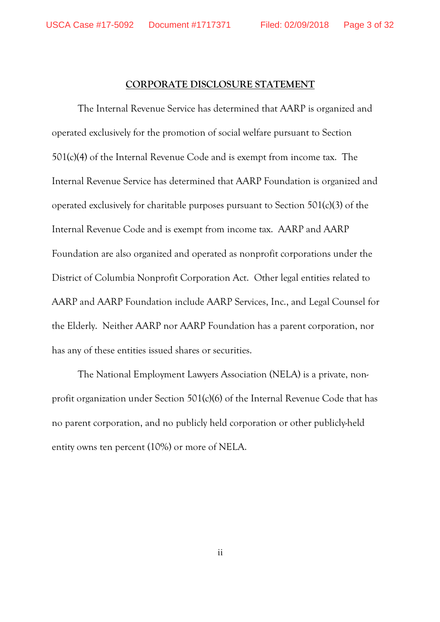# **CORPORATE DISCLOSURE STATEMENT**

The Internal Revenue Service has determined that AARP is organized and operated exclusively for the promotion of social welfare pursuant to Section 501(c)(4) of the Internal Revenue Code and is exempt from income tax. The Internal Revenue Service has determined that AARP Foundation is organized and operated exclusively for charitable purposes pursuant to Section 501(c)(3) of the Internal Revenue Code and is exempt from income tax. AARP and AARP Foundation are also organized and operated as nonprofit corporations under the District of Columbia Nonprofit Corporation Act. Other legal entities related to AARP and AARP Foundation include AARP Services, Inc., and Legal Counsel for the Elderly. Neither AARP nor AARP Foundation has a parent corporation, nor has any of these entities issued shares or securities.

The National Employment Lawyers Association (NELA) is a private, nonprofit organization under Section 501(c)(6) of the Internal Revenue Code that has no parent corporation, and no publicly held corporation or other publicly-held entity owns ten percent (10%) or more of NELA.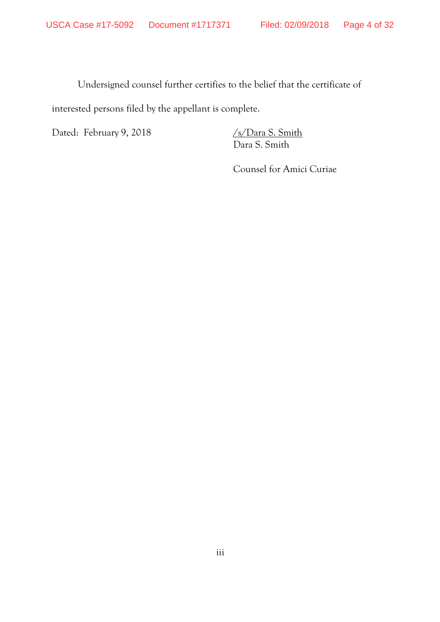Undersigned counsel further certifies to the belief that the certificate of interested persons filed by the appellant is complete.

Dated: February 9, 2018 /s/Dara S. Smith

Dara S. Smith

Counsel for Amici Curiae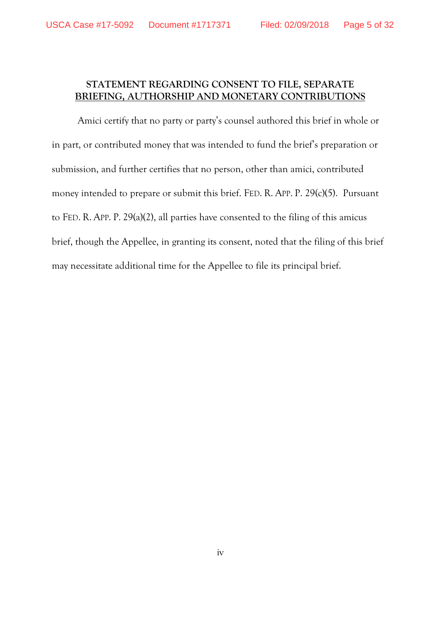# **STATEMENT REGARDING CONSENT TO FILE, SEPARATE BRIEFING, AUTHORSHIP AND MONETARY CONTRIBUTIONS**

Amici certify that no party or party's counsel authored this brief in whole or in part, or contributed money that was intended to fund the brief's preparation or submission, and further certifies that no person, other than amici, contributed money intended to prepare or submit this brief. FED. R. APP. P. 29(c)(5). Pursuant to FED. R. APP. P. 29(a)(2), all parties have consented to the filing of this amicus brief, though the Appellee, in granting its consent, noted that the filing of this brief may necessitate additional time for the Appellee to file its principal brief.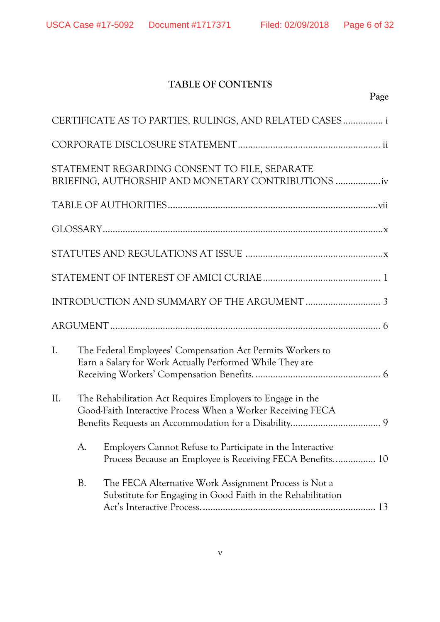# **TABLE OF CONTENTS**

# **Page**

|                                                                                                                                  |                                                                                                                        | CERTIFICATE AS TO PARTIES, RULINGS, AND RELATED CASES  i                                                               |
|----------------------------------------------------------------------------------------------------------------------------------|------------------------------------------------------------------------------------------------------------------------|------------------------------------------------------------------------------------------------------------------------|
|                                                                                                                                  |                                                                                                                        |                                                                                                                        |
|                                                                                                                                  |                                                                                                                        | STATEMENT REGARDING CONSENT TO FILE, SEPARATE<br>BRIEFING, AUTHORSHIP AND MONETARY CONTRIBUTIONS                       |
|                                                                                                                                  |                                                                                                                        |                                                                                                                        |
|                                                                                                                                  |                                                                                                                        |                                                                                                                        |
|                                                                                                                                  |                                                                                                                        |                                                                                                                        |
|                                                                                                                                  |                                                                                                                        |                                                                                                                        |
|                                                                                                                                  |                                                                                                                        |                                                                                                                        |
|                                                                                                                                  |                                                                                                                        |                                                                                                                        |
| $\mathbf{I}$ .                                                                                                                   | The Federal Employees' Compensation Act Permits Workers to<br>Earn a Salary for Work Actually Performed While They are |                                                                                                                        |
| II.<br>The Rehabilitation Act Requires Employers to Engage in the<br>Good-Faith Interactive Process When a Worker Receiving FECA |                                                                                                                        |                                                                                                                        |
|                                                                                                                                  | A.                                                                                                                     | Employers Cannot Refuse to Participate in the Interactive<br>Process Because an Employee is Receiving FECA Benefits 10 |
|                                                                                                                                  | <b>B.</b>                                                                                                              | The FECA Alternative Work Assignment Process is Not a<br>Substitute for Engaging in Good Faith in the Rehabilitation   |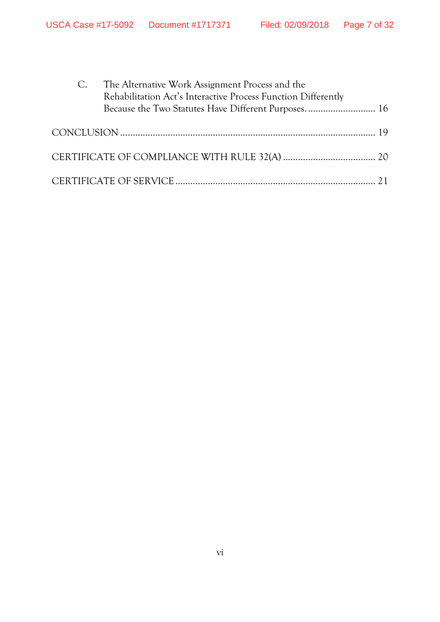|  | C. The Alternative Work Assignment Process and the<br>Rehabilitation Act's Interactive Process Function Differently |
|--|---------------------------------------------------------------------------------------------------------------------|
|  |                                                                                                                     |
|  |                                                                                                                     |
|  |                                                                                                                     |
|  |                                                                                                                     |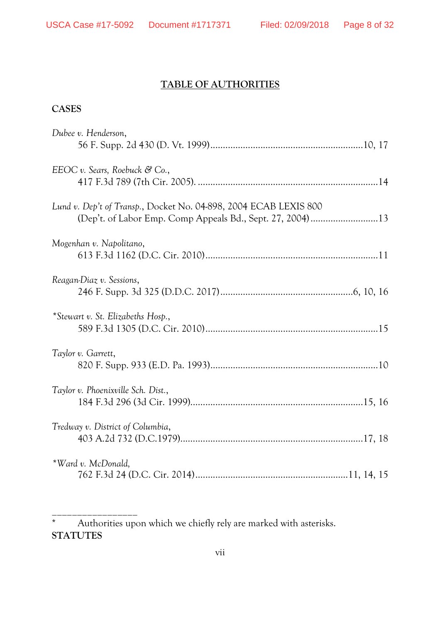\_\_\_\_\_\_\_\_\_\_\_\_\_\_\_\_\_

# **TABLE OF AUTHORITIES**

#### **CASES**

| Dubee v. Henderson,                                              |
|------------------------------------------------------------------|
|                                                                  |
| EEOC v. Sears, Roebuck & Co.,                                    |
|                                                                  |
| Lund v. Dep't of Transp., Docket No. 04-898, 2004 ECAB LEXIS 800 |
|                                                                  |
| Mogenhan v. Napolitano,                                          |
|                                                                  |
| Reagan-Diaz v. Sessions,                                         |
|                                                                  |
| *Stewart v. St. Elizabeths Hosp.,                                |
|                                                                  |
| Taylor v. Garrett,                                               |
|                                                                  |
| Taylor v. Phoenixville Sch. Dist.,                               |
|                                                                  |
| Tredway v. District of Columbia,                                 |
|                                                                  |
| *Ward v. McDonald,                                               |
|                                                                  |

<sup>\*</sup> Authorities upon which we chiefly rely are marked with asterisks. **STATUTES**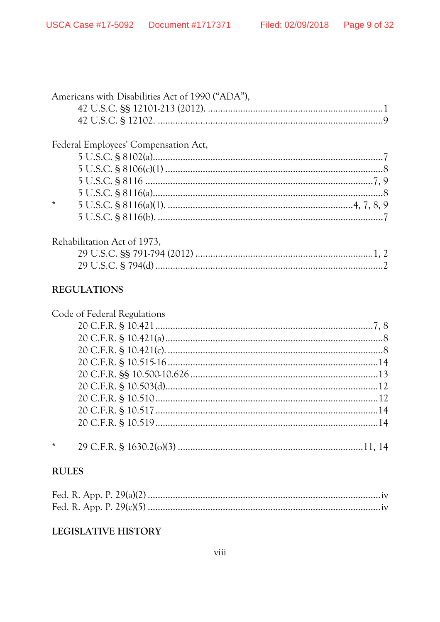| Americans with Disabilities Act of 1990 ("ADA"), |  |
|--------------------------------------------------|--|
|                                                  |  |
|                                                  |  |
| Federal Employees' Compensation Act,             |  |
|                                                  |  |
|                                                  |  |
|                                                  |  |
|                                                  |  |
| $\star$                                          |  |
|                                                  |  |
| Rehabilitation Act of 1973,                      |  |
|                                                  |  |

### **REGULATIONS**

| Code of Federal Regulations |  |
|-----------------------------|--|
|                             |  |
|                             |  |
|                             |  |
|                             |  |
|                             |  |
|                             |  |
|                             |  |
|                             |  |
|                             |  |
|                             |  |
|                             |  |
|                             |  |

### **RULES**

### **LEGISLATIVE HISTORY**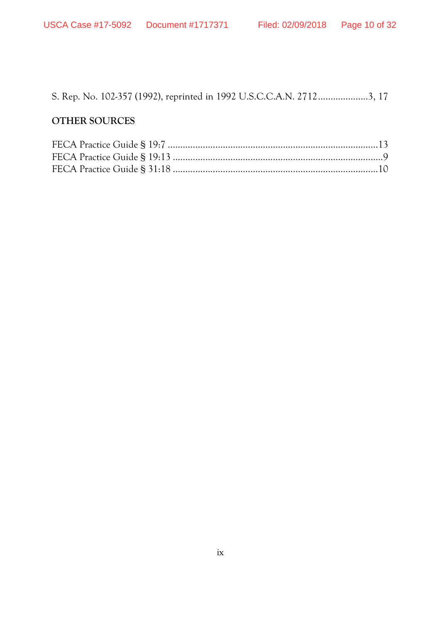S. Rep. No. 102-357 (1992), reprinted in 1992 U.S.C.C.A.N. 2712....................3, 17

# **OTHER SOURCES**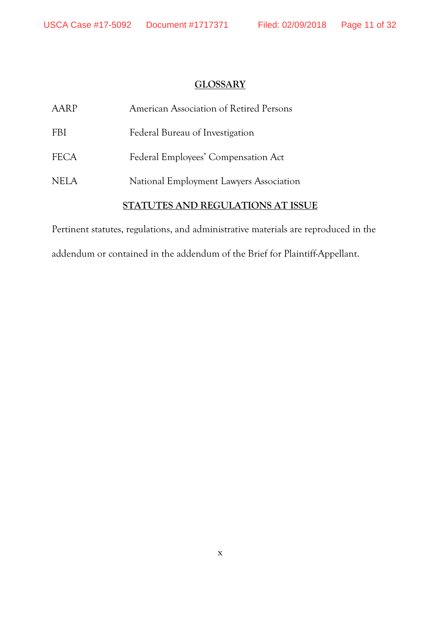### **GLOSSARY**

| AARP        | American Association of Retired Persons |
|-------------|-----------------------------------------|
| <b>FBI</b>  | Federal Bureau of Investigation         |
| <b>FECA</b> | Federal Employees' Compensation Act     |
| <b>NELA</b> | National Employment Lawyers Association |
|             | STATUTES AND REGULATIONS AT ISSUE       |

Pertinent statutes, regulations, and administrative materials are reproduced in the

addendum or contained in the addendum of the Brief for Plaintiff-Appellant.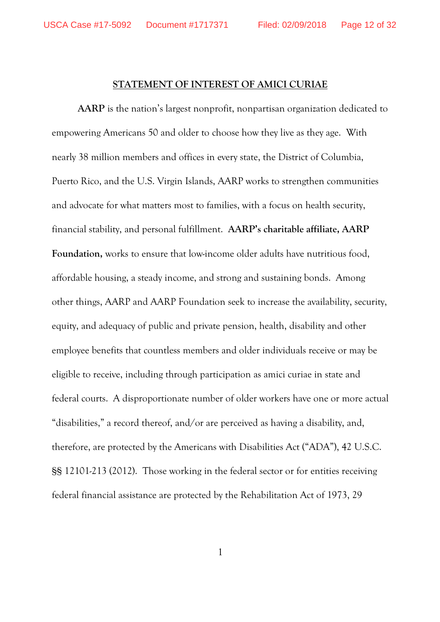#### **STATEMENT OF INTEREST OF AMICI CURIAE**

**AARP** is the nation's largest nonprofit, nonpartisan organization dedicated to empowering Americans 50 and older to choose how they live as they age. With nearly 38 million members and offices in every state, the District of Columbia, Puerto Rico, and the U.S. Virgin Islands, AARP works to strengthen communities and advocate for what matters most to families, with a focus on health security, financial stability, and personal fulfillment. **AARP's charitable affiliate, AARP Foundation,** works to ensure that low-income older adults have nutritious food, affordable housing, a steady income, and strong and sustaining bonds. Among other things, AARP and AARP Foundation seek to increase the availability, security, equity, and adequacy of public and private pension, health, disability and other employee benefits that countless members and older individuals receive or may be eligible to receive, including through participation as amici curiae in state and federal courts. A disproportionate number of older workers have one or more actual "disabilities," a record thereof, and/or are perceived as having a disability, and, therefore, are protected by the Americans with Disabilities Act ("ADA"), 42 U.S.C. §§ 12101-213 (2012). Those working in the federal sector or for entities receiving federal financial assistance are protected by the Rehabilitation Act of 1973, 29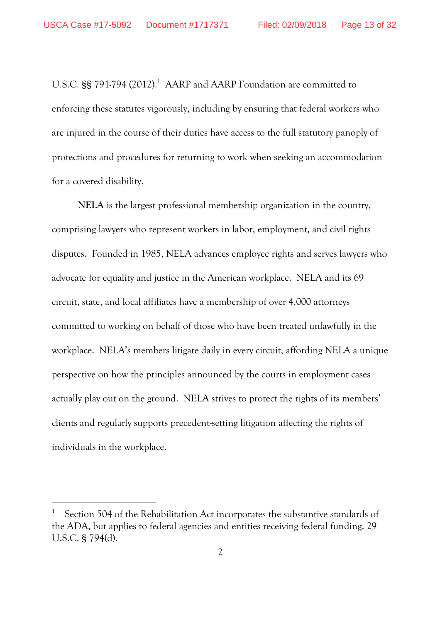U.S.C.  $\S$ § 791-794 (2012).<sup>1</sup> AARP and AARP Foundation are committed to enforcing these statutes vigorously, including by ensuring that federal workers who are injured in the course of their duties have access to the full statutory panoply of protections and procedures for returning to work when seeking an accommodation for a covered disability.

**NELA** is the largest professional membership organization in the country, comprising lawyers who represent workers in labor, employment, and civil rights disputes. Founded in 1985, NELA advances employee rights and serves lawyers who advocate for equality and justice in the American workplace. NELA and its 69 circuit, state, and local affiliates have a membership of over 4,000 attorneys committed to working on behalf of those who have been treated unlawfully in the workplace. NELA's members litigate daily in every circuit, affording NELA a unique perspective on how the principles announced by the courts in employment cases actually play out on the ground. NELA strives to protect the rights of its members' clients and regularly supports precedent-setting litigation affecting the rights of individuals in the workplace.

<sup>1</sup> Section 504 of the Rehabilitation Act incorporates the substantive standards of the ADA, but applies to federal agencies and entities receiving federal funding. 29 U.S.C. § 794(d).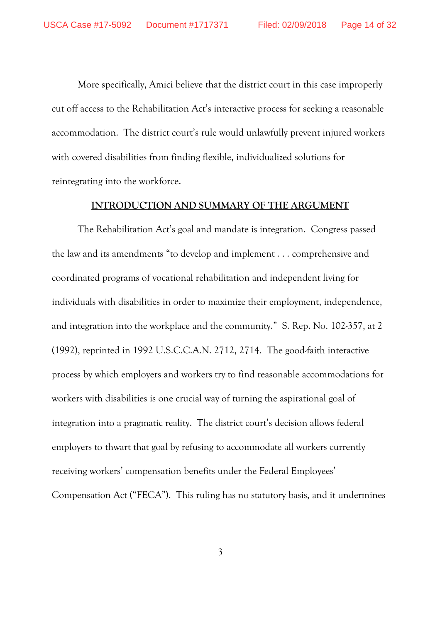More specifically, Amici believe that the district court in this case improperly cut off access to the Rehabilitation Act's interactive process for seeking a reasonable accommodation. The district court's rule would unlawfully prevent injured workers with covered disabilities from finding flexible, individualized solutions for reintegrating into the workforce.

#### **INTRODUCTION AND SUMMARY OF THE ARGUMENT**

The Rehabilitation Act's goal and mandate is integration. Congress passed the law and its amendments "to develop and implement . . . comprehensive and coordinated programs of vocational rehabilitation and independent living for individuals with disabilities in order to maximize their employment, independence, and integration into the workplace and the community." S. Rep. No. 102-357, at 2 (1992), reprinted in 1992 U.S.C.C.A.N. 2712, 2714. The good-faith interactive process by which employers and workers try to find reasonable accommodations for workers with disabilities is one crucial way of turning the aspirational goal of integration into a pragmatic reality. The district court's decision allows federal employers to thwart that goal by refusing to accommodate all workers currently receiving workers' compensation benefits under the Federal Employees' Compensation Act ("FECA"). This ruling has no statutory basis, and it undermines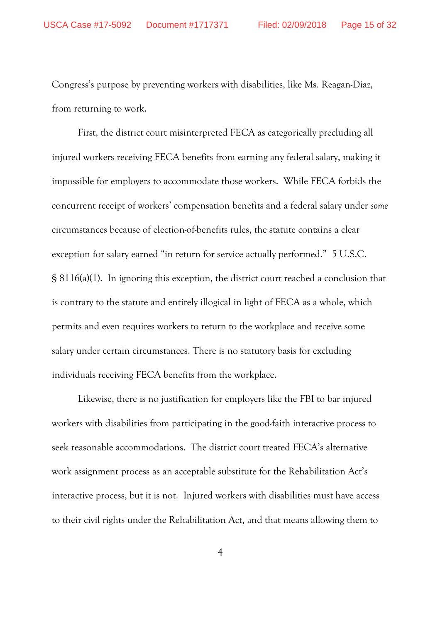Congress's purpose by preventing workers with disabilities, like Ms. Reagan-Diaz, from returning to work.

First, the district court misinterpreted FECA as categorically precluding all injured workers receiving FECA benefits from earning any federal salary, making it impossible for employers to accommodate those workers. While FECA forbids the concurrent receipt of workers' compensation benefits and a federal salary under *some* circumstances because of election-of-benefits rules, the statute contains a clear exception for salary earned "in return for service actually performed." 5 U.S.C. § 8116(a)(1). In ignoring this exception, the district court reached a conclusion that is contrary to the statute and entirely illogical in light of FECA as a whole, which permits and even requires workers to return to the workplace and receive some salary under certain circumstances. There is no statutory basis for excluding individuals receiving FECA benefits from the workplace.

Likewise, there is no justification for employers like the FBI to bar injured workers with disabilities from participating in the good-faith interactive process to seek reasonable accommodations. The district court treated FECA's alternative work assignment process as an acceptable substitute for the Rehabilitation Act's interactive process, but it is not. Injured workers with disabilities must have access to their civil rights under the Rehabilitation Act, and that means allowing them to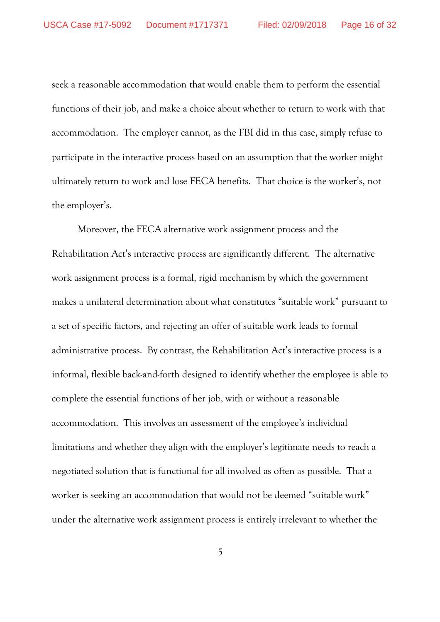seek a reasonable accommodation that would enable them to perform the essential functions of their job, and make a choice about whether to return to work with that accommodation. The employer cannot, as the FBI did in this case, simply refuse to participate in the interactive process based on an assumption that the worker might ultimately return to work and lose FECA benefits. That choice is the worker's, not the employer's.

Moreover, the FECA alternative work assignment process and the Rehabilitation Act's interactive process are significantly different. The alternative work assignment process is a formal, rigid mechanism by which the government makes a unilateral determination about what constitutes "suitable work" pursuant to a set of specific factors, and rejecting an offer of suitable work leads to formal administrative process. By contrast, the Rehabilitation Act's interactive process is a informal, flexible back-and-forth designed to identify whether the employee is able to complete the essential functions of her job, with or without a reasonable accommodation. This involves an assessment of the employee's individual limitations and whether they align with the employer's legitimate needs to reach a negotiated solution that is functional for all involved as often as possible. That a worker is seeking an accommodation that would not be deemed "suitable work" under the alternative work assignment process is entirely irrelevant to whether the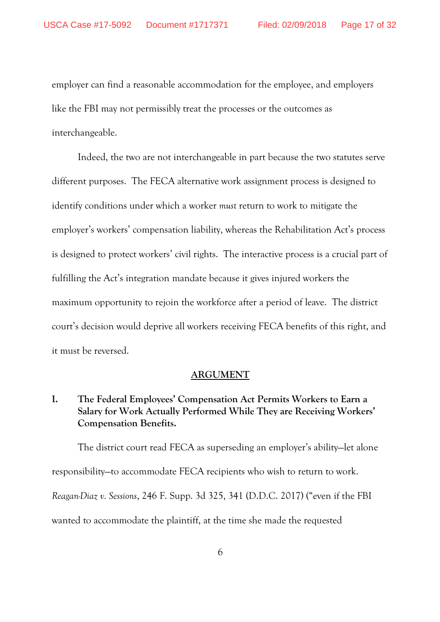employer can find a reasonable accommodation for the employee, and employers like the FBI may not permissibly treat the processes or the outcomes as interchangeable.

Indeed, the two are not interchangeable in part because the two statutes serve different purposes. The FECA alternative work assignment process is designed to identify conditions under which a worker *must* return to work to mitigate the employer's workers' compensation liability, whereas the Rehabilitation Act's process is designed to protect workers' civil rights. The interactive process is a crucial part of fulfilling the Act's integration mandate because it gives injured workers the maximum opportunity to rejoin the workforce after a period of leave. The district court's decision would deprive all workers receiving FECA benefits of this right, and it must be reversed.

#### **ARGUMENT**

# **I. The Federal Employees' Compensation Act Permits Workers to Earn a Salary for Work Actually Performed While They are Receiving Workers' Compensation Benefits.**

The district court read FECA as superseding an employer's ability—let alone responsibility—to accommodate FECA recipients who wish to return to work. *Reagan-Diaz v. Sessions*, 246 F. Supp. 3d 325, 341 (D.D.C. 2017) ("even if the FBI wanted to accommodate the plaintiff, at the time she made the requested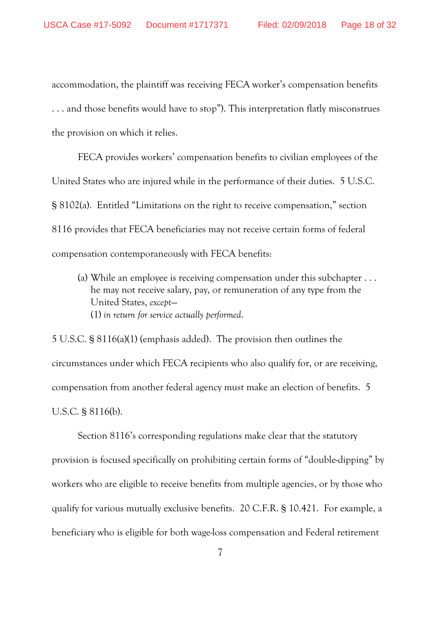accommodation, the plaintiff was receiving FECA worker's compensation benefits . . . and those benefits would have to stop"). This interpretation flatly misconstrues the provision on which it relies.

FECA provides workers' compensation benefits to civilian employees of the United States who are injured while in the performance of their duties. 5 U.S.C. § 8102(a). Entitled "Limitations on the right to receive compensation," section 8116 provides that FECA beneficiaries may not receive certain forms of federal compensation contemporaneously with FECA benefits:

(a) While an employee is receiving compensation under this subchapter . . . he may not receive salary, pay, or remuneration of any type from the United States, *except*— (1) *in return for service actually performed*.

5 U.S.C. § 8116(a)(1) (emphasis added). The provision then outlines the circumstances under which FECA recipients who also qualify for, or are receiving, compensation from another federal agency must make an election of benefits. 5 U.S.C. § 8116(b).

Section 8116's corresponding regulations make clear that the statutory provision is focused specifically on prohibiting certain forms of "double-dipping" by workers who are eligible to receive benefits from multiple agencies, or by those who qualify for various mutually exclusive benefits. 20 C.F.R. § 10.421. For example, a beneficiary who is eligible for both wage-loss compensation and Federal retirement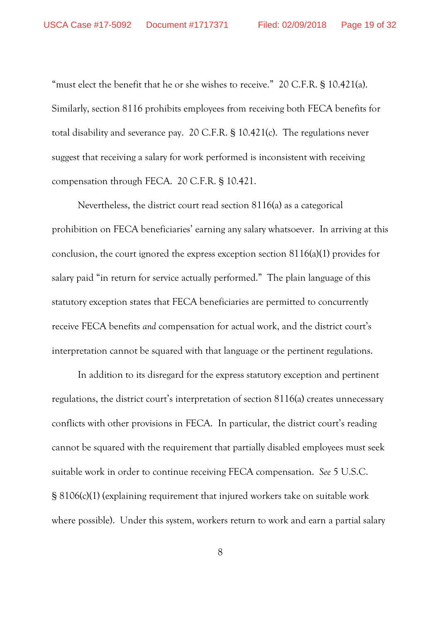"must elect the benefit that he or she wishes to receive." 20 C.F.R. § 10.421(a). Similarly, section 8116 prohibits employees from receiving both FECA benefits for total disability and severance pay. 20 C.F.R. § 10.421(c). The regulations never suggest that receiving a salary for work performed is inconsistent with receiving compensation through FECA. 20 C.F.R. § 10.421.

Nevertheless, the district court read section 8116(a) as a categorical prohibition on FECA beneficiaries' earning any salary whatsoever. In arriving at this conclusion, the court ignored the express exception section 8116(a)(1) provides for salary paid "in return for service actually performed." The plain language of this statutory exception states that FECA beneficiaries are permitted to concurrently receive FECA benefits *and* compensation for actual work, and the district court's interpretation cannot be squared with that language or the pertinent regulations.

In addition to its disregard for the express statutory exception and pertinent regulations, the district court's interpretation of section 8116(a) creates unnecessary conflicts with other provisions in FECA. In particular, the district court's reading cannot be squared with the requirement that partially disabled employees must seek suitable work in order to continue receiving FECA compensation. *See* 5 U.S.C. § 8106(c)(1) (explaining requirement that injured workers take on suitable work where possible). Under this system, workers return to work and earn a partial salary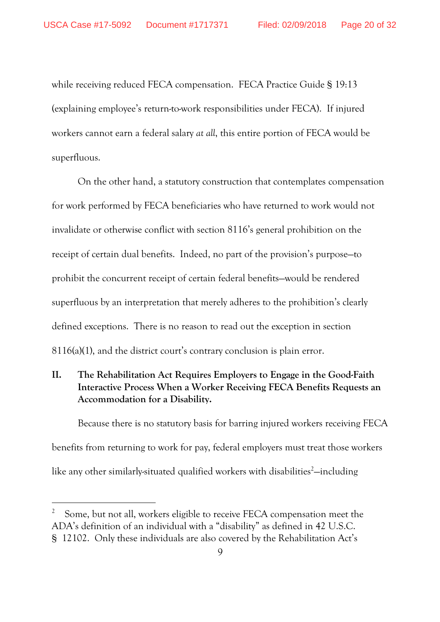while receiving reduced FECA compensation. FECA Practice Guide § 19:13 (explaining employee's return-to-work responsibilities under FECA). If injured workers cannot earn a federal salary *at all*, this entire portion of FECA would be superfluous.

On the other hand, a statutory construction that contemplates compensation for work performed by FECA beneficiaries who have returned to work would not invalidate or otherwise conflict with section 8116's general prohibition on the receipt of certain dual benefits. Indeed, no part of the provision's purpose—to prohibit the concurrent receipt of certain federal benefits—would be rendered superfluous by an interpretation that merely adheres to the prohibition's clearly defined exceptions. There is no reason to read out the exception in section 8116(a)(1), and the district court's contrary conclusion is plain error.

# **II. The Rehabilitation Act Requires Employers to Engage in the Good-Faith Interactive Process When a Worker Receiving FECA Benefits Requests an Accommodation for a Disability.**

Because there is no statutory basis for barring injured workers receiving FECA benefits from returning to work for pay, federal employers must treat those workers like any other similarly-situated qualified workers with disabilities<sup>2</sup>—including

<sup>2</sup> Some, but not all, workers eligible to receive FECA compensation meet the ADA's definition of an individual with a "disability" as defined in 42 U.S.C. § 12102. Only these individuals are also covered by the Rehabilitation Act's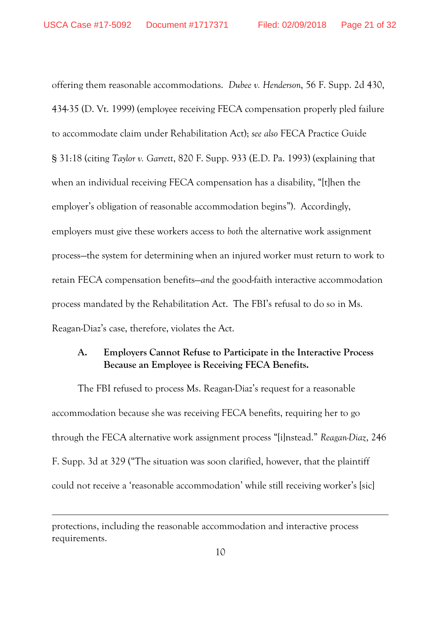offering them reasonable accommodations. *Dubee v. Henderson*, 56 F. Supp. 2d 430, 434-35 (D. Vt. 1999) (employee receiving FECA compensation properly pled failure to accommodate claim under Rehabilitation Act); *see also* FECA Practice Guide § 31:18 (citing *Taylor v. Garrett*, 820 F. Supp. 933 (E.D. Pa. 1993) (explaining that when an individual receiving FECA compensation has a disability, "[t]hen the employer's obligation of reasonable accommodation begins"). Accordingly, employers must give these workers access to *both* the alternative work assignment process—the system for determining when an injured worker must return to work to retain FECA compensation benefits—*and* the good-faith interactive accommodation process mandated by the Rehabilitation Act. The FBI's refusal to do so in Ms. Reagan-Diaz's case, therefore, violates the Act.

### **A. Employers Cannot Refuse to Participate in the Interactive Process Because an Employee is Receiving FECA Benefits.**

The FBI refused to process Ms. Reagan-Diaz's request for a reasonable accommodation because she was receiving FECA benefits, requiring her to go through the FECA alternative work assignment process "[i]nstead." *Reagan-Diaz*, 246 F. Supp. 3d at 329 ("The situation was soon clarified, however, that the plaintiff could not receive a 'reasonable accommodation' while still receiving worker's [sic]

protections, including the reasonable accommodation and interactive process requirements.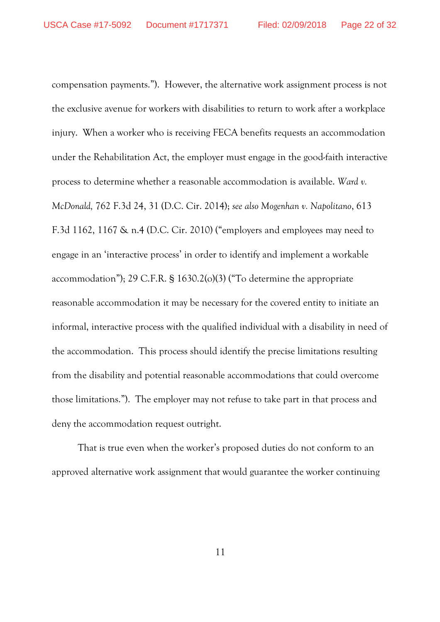compensation payments."). However, the alternative work assignment process is not the exclusive avenue for workers with disabilities to return to work after a workplace injury. When a worker who is receiving FECA benefits requests an accommodation under the Rehabilitation Act, the employer must engage in the good-faith interactive process to determine whether a reasonable accommodation is available. *Ward v. McDonald,* 762 F.3d 24, 31 (D.C. Cir. 2014); *see also Mogenhan v. Napolitano*, 613 F.3d 1162, 1167 & n.4 (D.C. Cir. 2010) ("employers and employees may need to engage in an 'interactive process' in order to identify and implement a workable accommodation"); 29 C.F.R. § 1630.2(o)(3) ("To determine the appropriate reasonable accommodation it may be necessary for the covered entity to initiate an informal, interactive process with the qualified individual with a disability in need of the accommodation. This process should identify the precise limitations resulting from the disability and potential reasonable accommodations that could overcome those limitations."). The employer may not refuse to take part in that process and deny the accommodation request outright.

That is true even when the worker's proposed duties do not conform to an approved alternative work assignment that would guarantee the worker continuing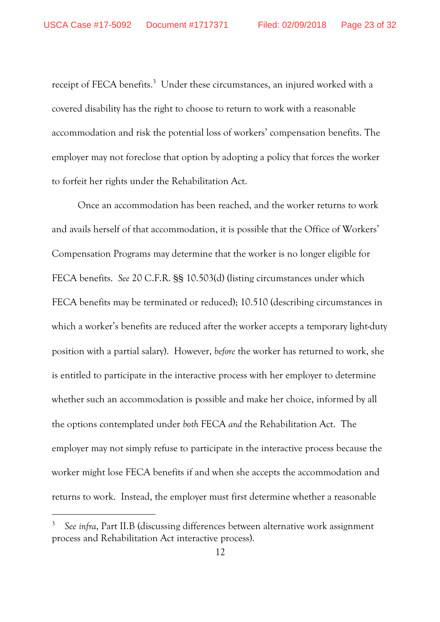receipt of FECA benefits.<sup>3</sup> Under these circumstances, an injured worked with a covered disability has the right to choose to return to work with a reasonable accommodation and risk the potential loss of workers' compensation benefits. The employer may not foreclose that option by adopting a policy that forces the worker to forfeit her rights under the Rehabilitation Act.

Once an accommodation has been reached, and the worker returns to work and avails herself of that accommodation, it is possible that the Office of Workers' Compensation Programs may determine that the worker is no longer eligible for FECA benefits. *See* 20 C.F.R. §§ 10.503(d) (listing circumstances under which FECA benefits may be terminated or reduced); 10.510 (describing circumstances in which a worker's benefits are reduced after the worker accepts a temporary light-duty position with a partial salary). However, *before* the worker has returned to work, she is entitled to participate in the interactive process with her employer to determine whether such an accommodation is possible and make her choice, informed by all the options contemplated under *both* FECA *and* the Rehabilitation Act. The employer may not simply refuse to participate in the interactive process because the worker might lose FECA benefits if and when she accepts the accommodation and returns to work. Instead, the employer must first determine whether a reasonable

<sup>3</sup> *See infra*, Part II.B (discussing differences between alternative work assignment process and Rehabilitation Act interactive process).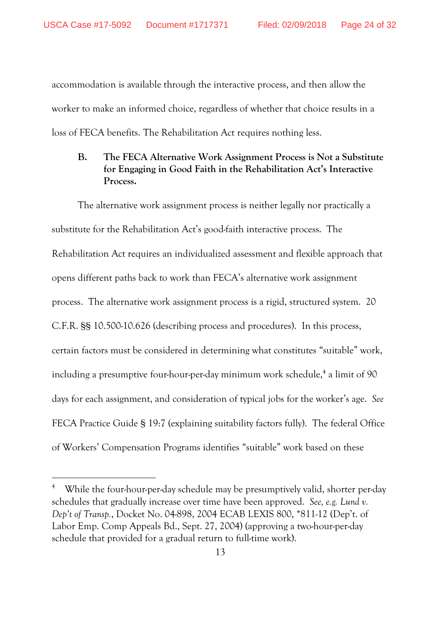accommodation is available through the interactive process, and then allow the worker to make an informed choice, regardless of whether that choice results in a loss of FECA benefits. The Rehabilitation Act requires nothing less.

# **B. The FECA Alternative Work Assignment Process is Not a Substitute for Engaging in Good Faith in the Rehabilitation Act's Interactive Process.**

The alternative work assignment process is neither legally nor practically a substitute for the Rehabilitation Act's good-faith interactive process. The Rehabilitation Act requires an individualized assessment and flexible approach that opens different paths back to work than FECA's alternative work assignment process. The alternative work assignment process is a rigid, structured system. 20 C.F.R. §§ 10.500-10.626 (describing process and procedures). In this process, certain factors must be considered in determining what constitutes "suitable" work, including a presumptive four-hour-per-day minimum work schedule,<sup>4</sup> a limit of 90 days for each assignment, and consideration of typical jobs for the worker's age. *See* FECA Practice Guide § 19:7 (explaining suitability factors fully). The federal Office of Workers' Compensation Programs identifies "suitable" work based on these

<sup>&</sup>lt;sup>4</sup> While the four-hour-per-day schedule may be presumptively valid, shorter per-day schedules that gradually increase over time have been approved. *See, e.g. Lund v. Dep't of Transp.*, Docket No. 04-898, 2004 ECAB LEXIS 800, \*811-12 (Dep't. of Labor Emp. Comp Appeals Bd., Sept. 27, 2004) (approving a two-hour-per-day schedule that provided for a gradual return to full-time work).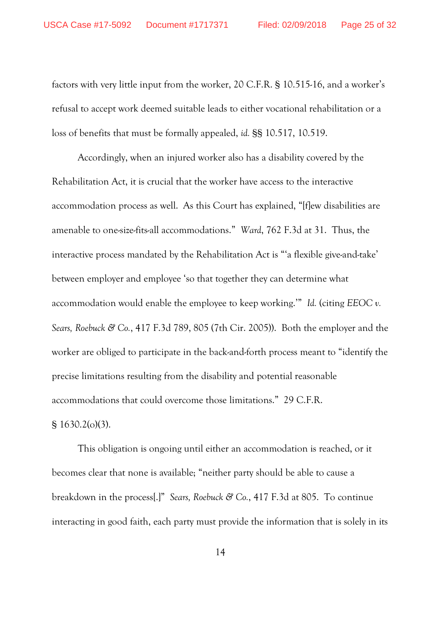factors with very little input from the worker, 20 C.F.R. § 10.515-16, and a worker's refusal to accept work deemed suitable leads to either vocational rehabilitation or a loss of benefits that must be formally appealed, *id.* §§ 10.517, 10.519.

Accordingly, when an injured worker also has a disability covered by the Rehabilitation Act, it is crucial that the worker have access to the interactive accommodation process as well. As this Court has explained, "[f]ew disabilities are amenable to one-size-fits-all accommodations." *Ward*, 762 F.3d at 31. Thus, the interactive process mandated by the Rehabilitation Act is "'a flexible give-and-take' between employer and employee 'so that together they can determine what accommodation would enable the employee to keep working.'" *Id.* (citing *EEOC v. Sears, Roebuck & Co.*, 417 F.3d 789, 805 (7th Cir. 2005)). Both the employer and the worker are obliged to participate in the back-and-forth process meant to "identify the precise limitations resulting from the disability and potential reasonable accommodations that could overcome those limitations." 29 C.F.R.

§ 1630.2(o)(3).

This obligation is ongoing until either an accommodation is reached, or it becomes clear that none is available; "neither party should be able to cause a breakdown in the process[.]" *Sears, Roebuck & Co.*, 417 F.3d at 805. To continue interacting in good faith, each party must provide the information that is solely in its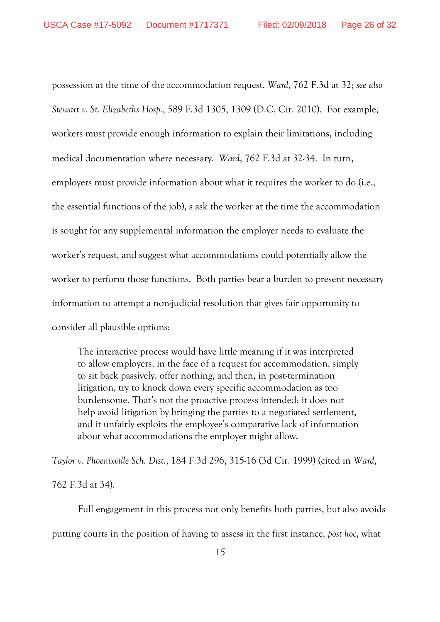possession at the time of the accommodation request. *Ward*, 762 F.3d at 32; *see also Stewart v. St. Elizabeths Hosp.*, 589 F.3d 1305, 1309 (D.C. Cir. 2010). For example, workers must provide enough information to explain their limitations, including medical documentation where necessary. *Ward*, 762 F.3d at 32-34. In turn, employers must provide information about what it requires the worker to do (i.e., the essential functions of the job), s ask the worker at the time the accommodation is sought for any supplemental information the employer needs to evaluate the worker's request, and suggest what accommodations could potentially allow the worker to perform those functions. Both parties bear a burden to present necessary information to attempt a non-judicial resolution that gives fair opportunity to consider all plausible options:

The interactive process would have little meaning if it was interpreted to allow employers, in the face of a request for accommodation, simply to sit back passively, offer nothing, and then, in post-termination litigation, try to knock down every specific accommodation as too burdensome. That's not the proactive process intended: it does not help avoid litigation by bringing the parties to a negotiated settlement, and it unfairly exploits the employee's comparative lack of information about what accommodations the employer might allow.

*Taylor v. Phoenixville Sch. Dist.*, 184 F.3d 296, 315-16 (3d Cir. 1999) (cited in *Ward*, 762 F.3d at 34).

Full engagement in this process not only benefits both parties, but also avoids putting courts in the position of having to assess in the first instance, *post hoc*, what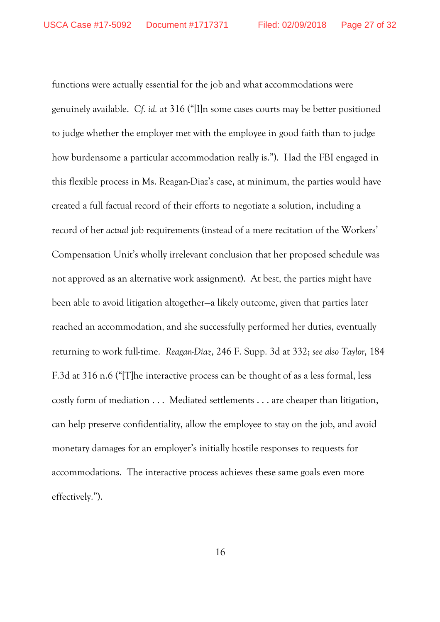functions were actually essential for the job and what accommodations were genuinely available. *Cf. id.* at 316 ("[I]n some cases courts may be better positioned to judge whether the employer met with the employee in good faith than to judge how burdensome a particular accommodation really is."). Had the FBI engaged in this flexible process in Ms. Reagan-Diaz's case, at minimum, the parties would have created a full factual record of their efforts to negotiate a solution, including a record of her *actual* job requirements (instead of a mere recitation of the Workers' Compensation Unit's wholly irrelevant conclusion that her proposed schedule was not approved as an alternative work assignment). At best, the parties might have been able to avoid litigation altogether—a likely outcome, given that parties later reached an accommodation, and she successfully performed her duties, eventually returning to work full-time. *Reagan-Diaz*, 246 F. Supp. 3d at 332; *see also Taylor*, 184 F.3d at 316 n.6 ("[T]he interactive process can be thought of as a less formal, less costly form of mediation . . . Mediated settlements . . . are cheaper than litigation, can help preserve confidentiality, allow the employee to stay on the job, and avoid monetary damages for an employer's initially hostile responses to requests for accommodations. The interactive process achieves these same goals even more effectively.").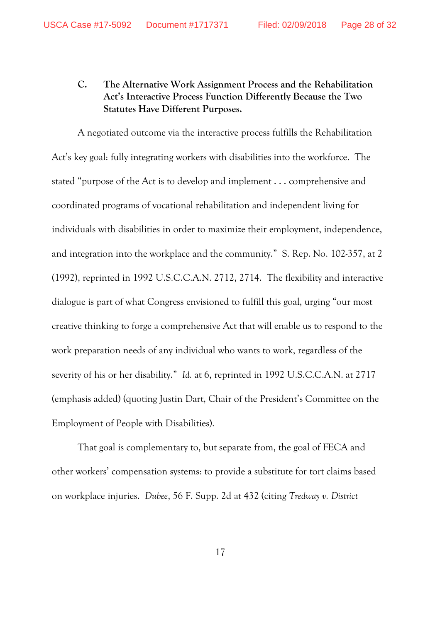### **C. The Alternative Work Assignment Process and the Rehabilitation Act's Interactive Process Function Differently Because the Two Statutes Have Different Purposes.**

A negotiated outcome via the interactive process fulfills the Rehabilitation Act's key goal: fully integrating workers with disabilities into the workforce. The stated "purpose of the Act is to develop and implement . . . comprehensive and coordinated programs of vocational rehabilitation and independent living for individuals with disabilities in order to maximize their employment, independence, and integration into the workplace and the community." S. Rep. No. 102-357, at 2 (1992), reprinted in 1992 U.S.C.C.A.N. 2712, 2714. The flexibility and interactive dialogue is part of what Congress envisioned to fulfill this goal, urging "our most creative thinking to forge a comprehensive Act that will enable us to respond to the work preparation needs of any individual who wants to work, regardless of the severity of his or her disability." *Id.* at 6, reprinted in 1992 U.S.C.C.A.N. at 2717 (emphasis added) (quoting Justin Dart, Chair of the President's Committee on the Employment of People with Disabilities).

That goal is complementary to, but separate from, the goal of FECA and other workers' compensation systems: to provide a substitute for tort claims based on workplace injuries. *Dubee*, 56 F. Supp. 2d at 432 (citing *Tredway v. District*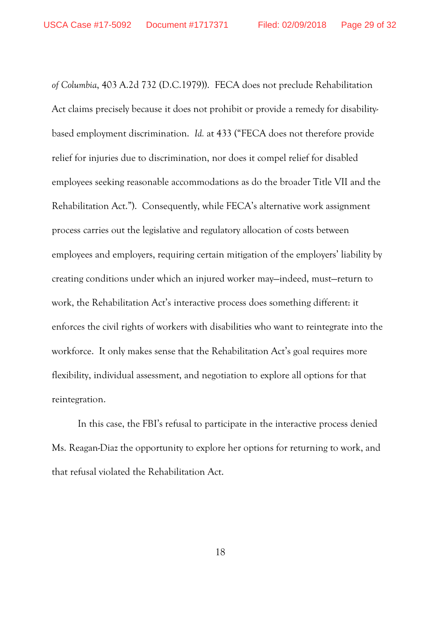*of Columbia*, 403 A.2d 732 (D.C.1979)). FECA does not preclude Rehabilitation Act claims precisely because it does not prohibit or provide a remedy for disabilitybased employment discrimination. *Id.* at 433 ("FECA does not therefore provide relief for injuries due to discrimination, nor does it compel relief for disabled employees seeking reasonable accommodations as do the broader Title VII and the Rehabilitation Act."). Consequently, while FECA's alternative work assignment process carries out the legislative and regulatory allocation of costs between employees and employers, requiring certain mitigation of the employers' liability by creating conditions under which an injured worker may—indeed, must—return to work, the Rehabilitation Act's interactive process does something different: it enforces the civil rights of workers with disabilities who want to reintegrate into the workforce. It only makes sense that the Rehabilitation Act's goal requires more flexibility, individual assessment, and negotiation to explore all options for that reintegration.

In this case, the FBI's refusal to participate in the interactive process denied Ms. Reagan-Diaz the opportunity to explore her options for returning to work, and that refusal violated the Rehabilitation Act.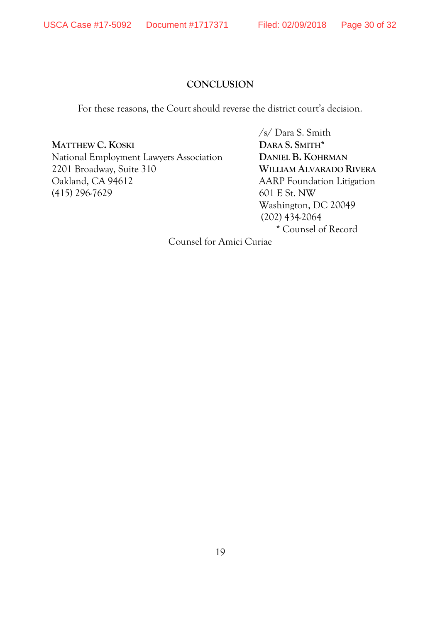#### **CONCLUSION**

For these reasons, the Court should reverse the district court's decision.

**MATTHEW C. KOSKI DARA S. SMITH\***

National Employment Lawyers Association **DANIEL B. KOHRMAN** 2201 Broadway, Suite 310 **WILLIAM ALVARADO RIVERA** Oakland, CA 94612 AARP Foundation Litigation (415) 296-7629 601 E St. NW

/s/ Dara S. Smith Washington, DC 20049 (202) 434-2064 \* Counsel of Record

Counsel for Amici Curiae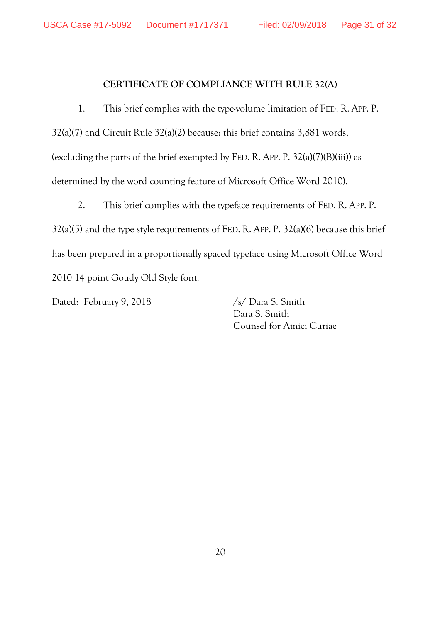#### **CERTIFICATE OF COMPLIANCE WITH RULE 32(A)**

1. This brief complies with the type-volume limitation of FED. R. APP. P. 32(a)(7) and Circuit Rule 32(a)(2) because: this brief contains 3,881 words, (excluding the parts of the brief exempted by FED. R. APP. P. 32(a)(7)(B)(iii)) as determined by the word counting feature of Microsoft Office Word 2010).

2. This brief complies with the typeface requirements of FED. R. APP. P. 32(a)(5) and the type style requirements of FED. R. APP. P. 32(a)(6) because this brief has been prepared in a proportionally spaced typeface using Microsoft Office Word 2010 14 point Goudy Old Style font.

Dated: February 9, 2018 /s/ Dara S. Smith

Dara S. Smith Counsel for Amici Curiae